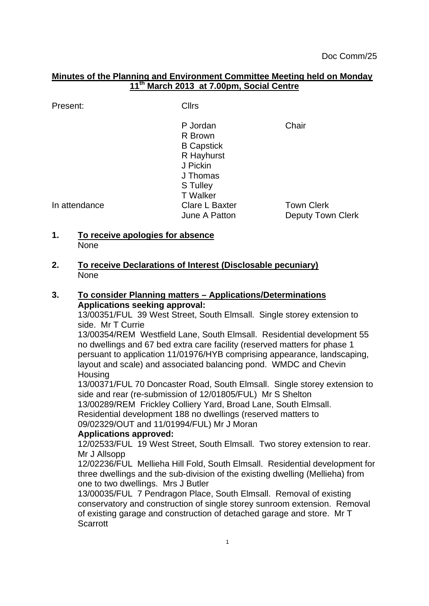## **Minutes of the Planning and Environment Committee Meeting held on Monday 11th March 2013 at 7.00pm, Social Centre**

Present: Cllrs

P Jordan Chair R Brown B Capstick R Hayhurst J Pickin J Thomas S Tulley T Walker In attendance Clare L Baxter Town Clerk June A Patton **Deputy Town Clerk** 

**1. To receive apologies for absence** None

**2. To receive Declarations of Interest (Disclosable pecuniary)** None

## **3. To consider Planning matters – Applications/Determinations Applications seeking approval:**

13/00351/FUL 39 West Street, South Elmsall. Single storey extension to side. Mr T Currie

13/00354/REM Westfield Lane, South Elmsall. Residential development 55 no dwellings and 67 bed extra care facility (reserved matters for phase 1 persuant to application 11/01976/HYB comprising appearance, landscaping, layout and scale) and associated balancing pond. WMDC and Chevin **Housing** 

13/00371/FUL 70 Doncaster Road, South Elmsall. Single storey extension to side and rear (re-submission of 12/01805/FUL) Mr S Shelton

13/00289/REM Frickley Colliery Yard, Broad Lane, South Elmsall.

Residential development 188 no dwellings (reserved matters to

09/02329/OUT and 11/01994/FUL) Mr J Moran

## **Applications approved:**

12/02533/FUL 19 West Street, South Elmsall. Two storey extension to rear. Mr J Allsopp

12/02236/FUL Mellieha Hill Fold, South Elmsall. Residential development for three dwellings and the sub-division of the existing dwelling (Mellieha) from one to two dwellings. Mrs J Butler

13/00035/FUL 7 Pendragon Place, South Elmsall. Removal of existing conservatory and construction of single storey sunroom extension. Removal of existing garage and construction of detached garage and store. Mr T Scarrott